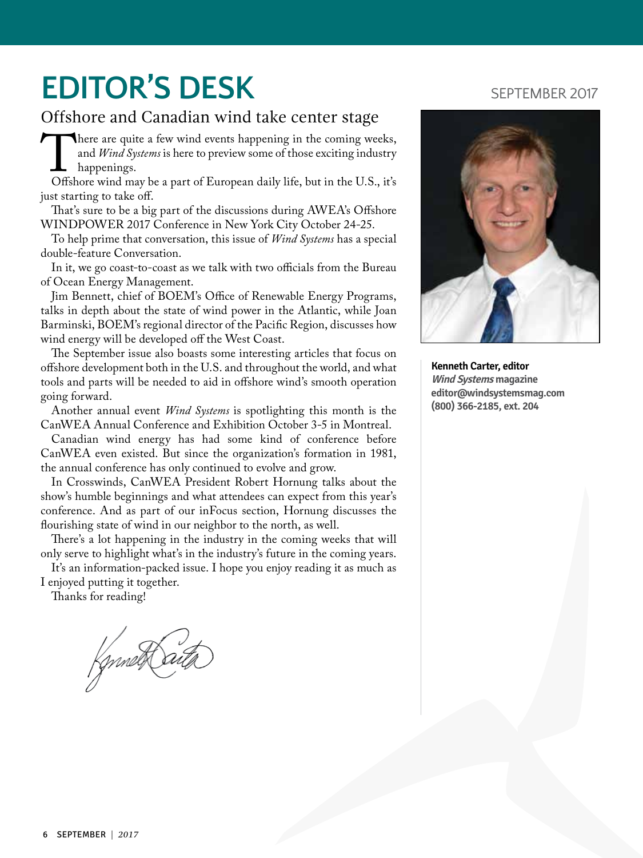## **EDITOR'S DESK** SEPTEMBER 2017

### Offshore and Canadian wind take center stage

There are quite a few wind events happening in the coming weeks,<br>
and *Wind Systems* is here to preview some of those exciting industry<br>
offshore wind may be a part of European daily life, but in the U.S., it's and *Wind Systems* is here to preview some of those exciting industry happenings.

just starting to take off.

That's sure to be a big part of the discussions during AWEA's Offshore WINDPOWER 2017 Conference in New York City October 24-25.

To help prime that conversation, this issue of *Wind Systems* has a special double-feature Conversation.

In it, we go coast-to-coast as we talk with two officials from the Bureau of Ocean Energy Management.

Jim Bennett, chief of BOEM's Office of Renewable Energy Programs, talks in depth about the state of wind power in the Atlantic, while Joan Barminski, BOEM's regional director of the Pacific Region, discusses how wind energy will be developed off the West Coast.

The September issue also boasts some interesting articles that focus on offshore development both in the U.S. and throughout the world, and what tools and parts will be needed to aid in offshore wind's smooth operation going forward.

Another annual event *Wind Systems* is spotlighting this month is the CanWEA Annual Conference and Exhibition October 3-5 in Montreal.

Canadian wind energy has had some kind of conference before CanWEA even existed. But since the organization's formation in 1981, the annual conference has only continued to evolve and grow.

In Crosswinds, CanWEA President Robert Hornung talks about the show's humble beginnings and what attendees can expect from this year's conference. And as part of our inFocus section, Hornung discusses the flourishing state of wind in our neighbor to the north, as well.

There's a lot happening in the industry in the coming weeks that will only serve to highlight what's in the industry's future in the coming years.

It's an information-packed issue. I hope you enjoy reading it as much as I enjoyed putting it together.

Thanks for reading!

fgnnet Saitz



**Kenneth Carter, editor Wind Systems magazine [editor@windsystemsmag.com](mailto:editor@windsystemsmag.com?subject=Referred by Wind Systems) (800) 366-2185, ext. 204**